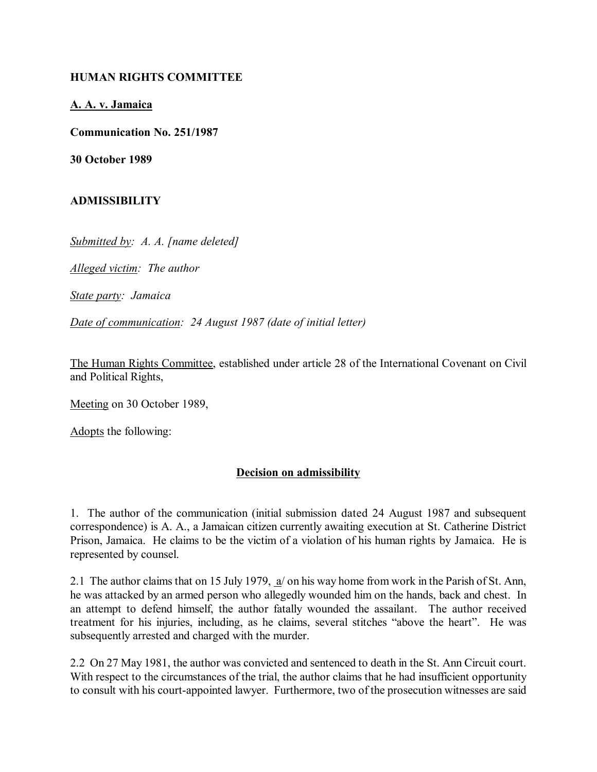## **HUMAN RIGHTS COMMITTEE**

**A. A. v. Jamaica**

**Communication No. 251/1987**

**30 October 1989**

## **ADMISSIBILITY**

*Submitted by: A. A. [name deleted]*

*Alleged victim: The author*

*State party: Jamaica*

*Date of communication: 24 August 1987 (date of initial letter)*

The Human Rights Committee, established under article 28 of the International Covenant on Civil and Political Rights,

Meeting on 30 October 1989,

Adopts the following:

## **Decision on admissibility**

1. The author of the communication (initial submission dated 24 August 1987 and subsequent correspondence) is A. A., a Jamaican citizen currently awaiting execution at St. Catherine District Prison, Jamaica. He claims to be the victim of a violation of his human rights by Jamaica. He is represented by counsel.

2.1 The author claims that on 15 July 1979, a/ on his way home from work in the Parish of St. Ann, he was attacked by an armed person who allegedly wounded him on the hands, back and chest. In an attempt to defend himself, the author fatally wounded the assailant. The author received treatment for his injuries, including, as he claims, several stitches "above the heart". He was subsequently arrested and charged with the murder.

2.2 On 27 May 1981, the author was convicted and sentenced to death in the St. Ann Circuit court. With respect to the circumstances of the trial, the author claims that he had insufficient opportunity to consult with his court-appointed lawyer. Furthermore, two of the prosecution witnesses are said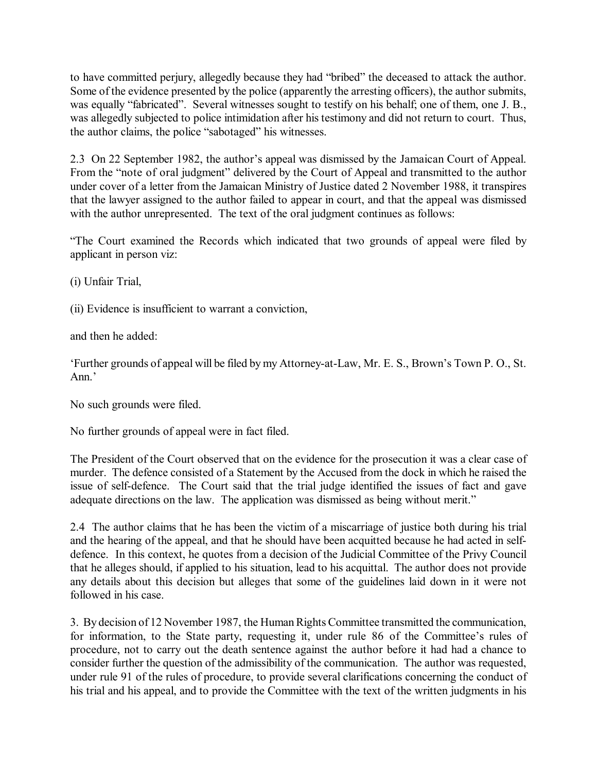to have committed perjury, allegedly because they had "bribed" the deceased to attack the author. Some of the evidence presented by the police (apparently the arresting officers), the author submits, was equally "fabricated". Several witnesses sought to testify on his behalf; one of them, one J. B., was allegedly subjected to police intimidation after his testimony and did not return to court. Thus, the author claims, the police "sabotaged" his witnesses.

2.3 On 22 September 1982, the author's appeal was dismissed by the Jamaican Court of Appeal. From the "note of oral judgment" delivered by the Court of Appeal and transmitted to the author under cover of a letter from the Jamaican Ministry of Justice dated 2 November 1988, it transpires that the lawyer assigned to the author failed to appear in court, and that the appeal was dismissed with the author unrepresented. The text of the oral judgment continues as follows:

"The Court examined the Records which indicated that two grounds of appeal were filed by applicant in person viz:

(i) Unfair Trial,

(ii) Evidence is insufficient to warrant a conviction,

and then he added:

ëFurther grounds of appeal will be filed by my Attorney-at-Law, Mr. E. S., Brownís Town P. O., St. Ann<sup>'</sup>

No such grounds were filed.

No further grounds of appeal were in fact filed.

The President of the Court observed that on the evidence for the prosecution it was a clear case of murder. The defence consisted of a Statement by the Accused from the dock in which he raised the issue of self-defence. The Court said that the trial judge identified the issues of fact and gave adequate directions on the law. The application was dismissed as being without merit."

2.4 The author claims that he has been the victim of a miscarriage of justice both during his trial and the hearing of the appeal, and that he should have been acquitted because he had acted in selfdefence. In this context, he quotes from a decision of the Judicial Committee of the Privy Council that he alleges should, if applied to his situation, lead to his acquittal. The author does not provide any details about this decision but alleges that some of the guidelines laid down in it were not followed in his case.

3. By decision of 12 November 1987, the Human Rights Committee transmitted the communication, for information, to the State party, requesting it, under rule 86 of the Committee's rules of procedure, not to carry out the death sentence against the author before it had had a chance to consider further the question of the admissibility of the communication. The author was requested, under rule 91 of the rules of procedure, to provide several clarifications concerning the conduct of his trial and his appeal, and to provide the Committee with the text of the written judgments in his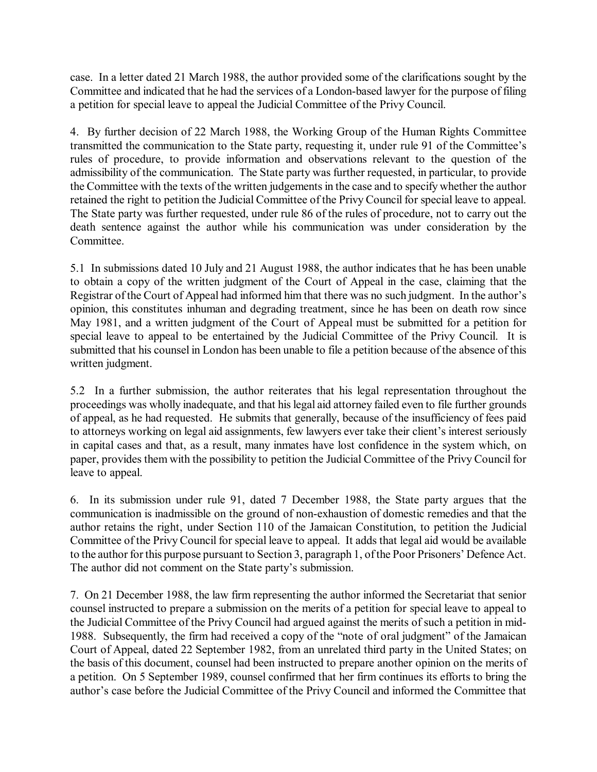case. In a letter dated 21 March 1988, the author provided some of the clarifications sought by the Committee and indicated that he had the services of a London-based lawyer for the purpose of filing a petition for special leave to appeal the Judicial Committee of the Privy Council.

4. By further decision of 22 March 1988, the Working Group of the Human Rights Committee transmitted the communication to the State party, requesting it, under rule 91 of the Committee's rules of procedure, to provide information and observations relevant to the question of the admissibility of the communication. The State party was further requested, in particular, to provide the Committee with the texts of the written judgements in the case and to specify whether the author retained the right to petition the Judicial Committee of the Privy Council for special leave to appeal. The State party was further requested, under rule 86 of the rules of procedure, not to carry out the death sentence against the author while his communication was under consideration by the Committee.

5.1 In submissions dated 10 July and 21 August 1988, the author indicates that he has been unable to obtain a copy of the written judgment of the Court of Appeal in the case, claiming that the Registrar of the Court of Appeal had informed him that there was no such judgment. In the author's opinion, this constitutes inhuman and degrading treatment, since he has been on death row since May 1981, and a written judgment of the Court of Appeal must be submitted for a petition for special leave to appeal to be entertained by the Judicial Committee of the Privy Council. It is submitted that his counsel in London has been unable to file a petition because of the absence of this written judgment.

5.2 In a further submission, the author reiterates that his legal representation throughout the proceedings was wholly inadequate, and that his legal aid attorney failed even to file further grounds of appeal, as he had requested. He submits that generally, because of the insufficiency of fees paid to attorneys working on legal aid assignments, few lawyers ever take their client's interest seriously in capital cases and that, as a result, many inmates have lost confidence in the system which, on paper, provides them with the possibility to petition the Judicial Committee of the Privy Council for leave to appeal.

6. In its submission under rule 91, dated 7 December 1988, the State party argues that the communication is inadmissible on the ground of non-exhaustion of domestic remedies and that the author retains the right, under Section 110 of the Jamaican Constitution, to petition the Judicial Committee of the Privy Council for special leave to appeal. It adds that legal aid would be available to the author for this purpose pursuant to Section 3, paragraph 1, of the Poor Prisoners' Defence Act. The author did not comment on the State party's submission.

7. On 21 December 1988, the law firm representing the author informed the Secretariat that senior counsel instructed to prepare a submission on the merits of a petition for special leave to appeal to the Judicial Committee of the Privy Council had argued against the merits of such a petition in mid-1988. Subsequently, the firm had received a copy of the "note of oral judgment" of the Jamaican Court of Appeal, dated 22 September 1982, from an unrelated third party in the United States; on the basis of this document, counsel had been instructed to prepare another opinion on the merits of a petition. On 5 September 1989, counsel confirmed that her firm continues its efforts to bring the author's case before the Judicial Committee of the Privy Council and informed the Committee that